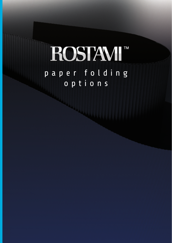# ROSTAVI<sup>M</sup> paper folding options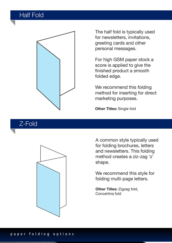# Half Fold



The half fold is typically used for newsletters, invitations, greeting cards and other personal messages.

For high GSM paper stock a score is applied to give the finished product a smooth folded edge.

We recommend this folding method for inserting for direct marketing purposes.

**Other Titles:** Single fold

#### Z-Fold



A common style typically used for folding brochures, letters and newsletters. This folding method creates a ziz-zag 'z' shape.

We recommend this style for folding multi-page letters.

**Other Titles:** Zigzag fold, Concertina fold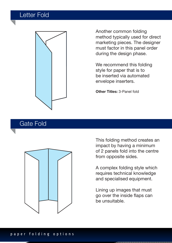## Letter Fold



Another common folding method typically used for direct marketing pieces. The designer must factor in this panel order during the design phase.

We recommend this folding style for paper that is to be inserted via automated envelope inserters.

**Other Titles:** 3-Panel fold

#### Gate Fold



This folding method creates an impact by having a minimum of 2 panels fold into the centre from opposite sides.

A complex folding style which requires technical knowledge and specialised equipment.

Lining up images that must go over the inside flaps can be unsuitable.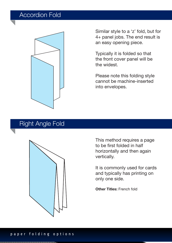## Accordion Fold



Similar style to a 'z' fold, but for 4+ panel jobs. The end result is an easy opening piece.

Typically it is folded so that the front cover panel will be the widest.

Please note this folding style cannot be machine-inserted into envelopes.

#### Right Angle Fold



This method requires a page to be first folded in half horizontally and then again vertically.

It is commonly used for cards and typically has printing on only one side.

**Other Titles:** French fold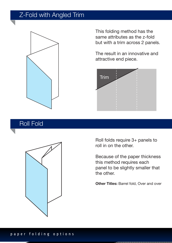# Z-Fold with Angled Trim



This folding method has the same attributes as the z-fold but with a trim across 2 panels.

The result in an innovative and attractive end piece.



# Roll Fold



Roll folds require 3+ panels to roll in on the other.

Because of the paper thickness this method requires each panel to be slightly smaller that the other.

**Other Titles: Barrel fold, Over and over**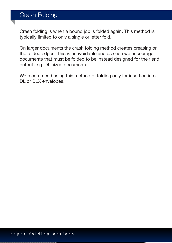## Crash Folding

Crash folding is when a bound job is folded again. This method is typically limited to only a single or letter fold.

On larger documents the crash folding method creates creasing on the folded edges. This is unavoidable and as such we encourage documents that must be folded to be instead designed for their end output (e.g. DL sized document).

We recommend using this method of folding only for insertion into DL or DLX envelopes.